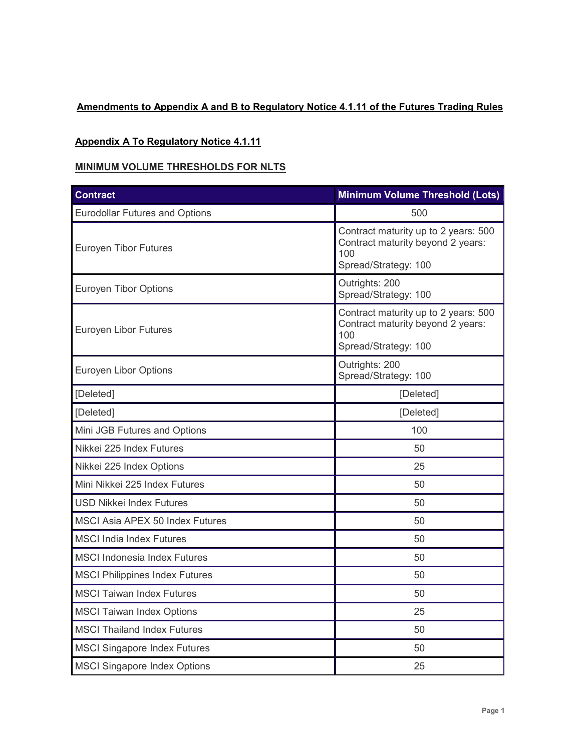# **Amendments to Appendix A and B to Regulatory Notice 4.1.11 of the Futures Trading Rules**

#### **Appendix A To Regulatory Notice 4.1.11**

### **MINIMUM VOLUME THRESHOLDS FOR NLTS**

| <b>Contract</b>                        | <b>Minimum Volume Threshold (Lots)</b>                                                                   |
|----------------------------------------|----------------------------------------------------------------------------------------------------------|
| <b>Eurodollar Futures and Options</b>  | 500                                                                                                      |
| <b>Euroyen Tibor Futures</b>           | Contract maturity up to 2 years: 500<br>Contract maturity beyond 2 years:<br>100<br>Spread/Strategy: 100 |
| <b>Euroyen Tibor Options</b>           | Outrights: 200<br>Spread/Strategy: 100                                                                   |
| Euroyen Libor Futures                  | Contract maturity up to 2 years: 500<br>Contract maturity beyond 2 years:<br>100<br>Spread/Strategy: 100 |
| Euroyen Libor Options                  | Outrights: 200<br>Spread/Strategy: 100                                                                   |
| [Deleted]                              | [Deleted]                                                                                                |
| [Deleted]                              | [Deleted]                                                                                                |
| Mini JGB Futures and Options           | 100                                                                                                      |
| Nikkei 225 Index Futures               | 50                                                                                                       |
| Nikkei 225 Index Options               | 25                                                                                                       |
| Mini Nikkei 225 Index Futures          | 50                                                                                                       |
| <b>USD Nikkei Index Futures</b>        | 50                                                                                                       |
| <b>MSCI Asia APEX 50 Index Futures</b> | 50                                                                                                       |
| <b>MSCI India Index Futures</b>        | 50                                                                                                       |
| <b>MSCI Indonesia Index Futures</b>    | 50                                                                                                       |
| <b>MSCI Philippines Index Futures</b>  | 50                                                                                                       |
| <b>MSCI Taiwan Index Futures</b>       | 50                                                                                                       |
| <b>MSCI Taiwan Index Options</b>       | 25                                                                                                       |
| <b>MSCI Thailand Index Futures</b>     | 50                                                                                                       |
| <b>MSCI Singapore Index Futures</b>    | 50                                                                                                       |
| <b>MSCI Singapore Index Options</b>    | 25                                                                                                       |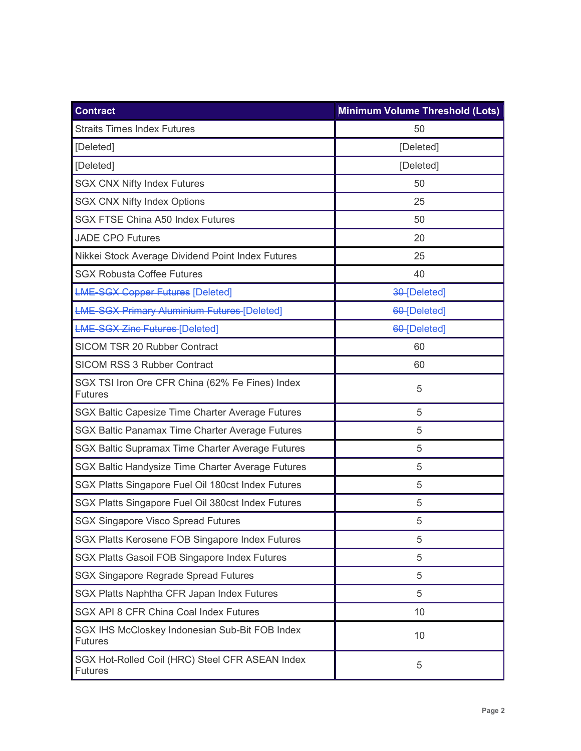| <b>Contract</b>                                                   | <b>Minimum Volume Threshold (Lots)</b> |  |
|-------------------------------------------------------------------|----------------------------------------|--|
| <b>Straits Times Index Futures</b>                                | 50                                     |  |
| [Deleted]                                                         | [Deleted]                              |  |
| [Deleted]                                                         | [Deleted]                              |  |
| <b>SGX CNX Nifty Index Futures</b>                                | 50                                     |  |
| <b>SGX CNX Nifty Index Options</b>                                | 25                                     |  |
| <b>SGX FTSE China A50 Index Futures</b>                           | 50                                     |  |
| <b>JADE CPO Futures</b>                                           | 20                                     |  |
| Nikkei Stock Average Dividend Point Index Futures                 | 25                                     |  |
| <b>SGX Robusta Coffee Futures</b>                                 | 40                                     |  |
| <b>LME-SGX Copper Futures [Deleted]</b>                           | 30-[Deleted]                           |  |
| <b>LME-SGX Primary Aluminium Futures [Deleted]</b>                | 60-[Deleted]                           |  |
| <b>LME-SGX Zinc Futures [Deleted]</b>                             | 60-[Deleted]                           |  |
| SICOM TSR 20 Rubber Contract                                      | 60                                     |  |
| <b>SICOM RSS 3 Rubber Contract</b>                                | 60                                     |  |
| SGX TSI Iron Ore CFR China (62% Fe Fines) Index<br><b>Futures</b> | 5                                      |  |
| SGX Baltic Capesize Time Charter Average Futures                  | 5                                      |  |
| SGX Baltic Panamax Time Charter Average Futures                   | 5                                      |  |
| SGX Baltic Supramax Time Charter Average Futures                  | 5                                      |  |
| SGX Baltic Handysize Time Charter Average Futures                 | 5                                      |  |
| SGX Platts Singapore Fuel Oil 180cst Index Futures                | 5                                      |  |
| SGX Platts Singapore Fuel Oil 380cst Index Futures                | 5                                      |  |
| <b>SGX Singapore Visco Spread Futures</b>                         | 5                                      |  |
| SGX Platts Kerosene FOB Singapore Index Futures                   | 5                                      |  |
| SGX Platts Gasoil FOB Singapore Index Futures                     | 5                                      |  |
| <b>SGX Singapore Regrade Spread Futures</b>                       | 5                                      |  |
| SGX Platts Naphtha CFR Japan Index Futures                        | 5                                      |  |
| SGX API 8 CFR China Coal Index Futures                            | 10                                     |  |
| SGX IHS McCloskey Indonesian Sub-Bit FOB Index<br><b>Futures</b>  | 10                                     |  |
| SGX Hot-Rolled Coil (HRC) Steel CFR ASEAN Index<br><b>Futures</b> | 5                                      |  |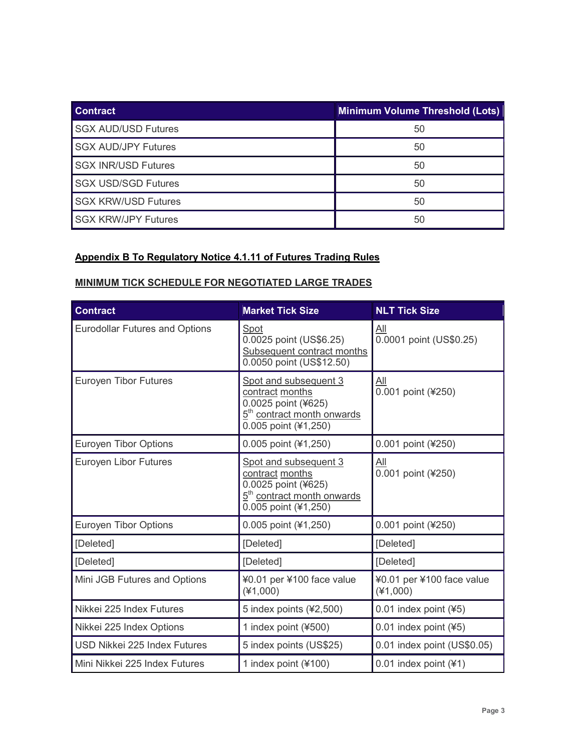| <b>Contract</b>            | <b>Minimum Volume Threshold (Lots)</b> |
|----------------------------|----------------------------------------|
| <b>SGX AUD/USD Futures</b> | 50                                     |
| <b>SGX AUD/JPY Futures</b> | 50                                     |
| <b>SGX INR/USD Futures</b> | 50                                     |
| <b>SGX USD/SGD Futures</b> | 50                                     |
| <b>SGX KRW/USD Futures</b> | 50                                     |
| <b>SGX KRW/JPY Futures</b> | 50                                     |

## **Appendix B To Regulatory Notice 4.1.11 of Futures Trading Rules**

### **MINIMUM TICK SCHEDULE FOR NEGOTIATED LARGE TRADES**

| <b>Contract</b>                       | <b>Market Tick Size</b>                                                                                                           | <b>NLT Tick Size</b>                    |
|---------------------------------------|-----------------------------------------------------------------------------------------------------------------------------------|-----------------------------------------|
| <b>Eurodollar Futures and Options</b> | Spot<br>0.0025 point (US\$6.25)<br>Subsequent contract months<br>0.0050 point (US\$12.50)                                         | <u>All</u><br>0.0001 point (US\$0.25)   |
| <b>Euroyen Tibor Futures</b>          | Spot and subsequent 3<br>contract months<br>0.0025 point (¥625)<br>5 <sup>th</sup> contract month onwards<br>0.005 point (¥1,250) | <u>aii</u><br>0.001 point (¥250)        |
| <b>Euroyen Tibor Options</b>          | 0.005 point (¥1,250)                                                                                                              | 0.001 point (¥250)                      |
| Euroyen Libor Futures                 | Spot and subsequent 3<br>contract months<br>0.0025 point (¥625)<br>5 <sup>th</sup> contract month onwards<br>0.005 point (¥1,250) | All<br>0.001 point (¥250)               |
| Euroyen Tibor Options                 | 0.005 point (¥1,250)                                                                                                              | 0.001 point (¥250)                      |
| [Deleted]                             | [Deleted]                                                                                                                         | [Deleted]                               |
| [Deleted]                             | [Deleted]                                                                                                                         | [Deleted]                               |
| Mini JGB Futures and Options          | ¥0.01 per ¥100 face value<br>$(*1,000)$                                                                                           | ¥0.01 per ¥100 face value<br>$(*1,000)$ |
| Nikkei 225 Index Futures              | 5 index points (¥2,500)                                                                                                           | $0.01$ index point (¥5)                 |
| Nikkei 225 Index Options              | 1 index point (¥500)                                                                                                              | $0.01$ index point (¥5)                 |
| USD Nikkei 225 Index Futures          | 5 index points (US\$25)                                                                                                           | 0.01 index point (US\$0.05)             |
| Mini Nikkei 225 Index Futures         | 1 index point $(*100)$                                                                                                            | 0.01 index point $(41)$                 |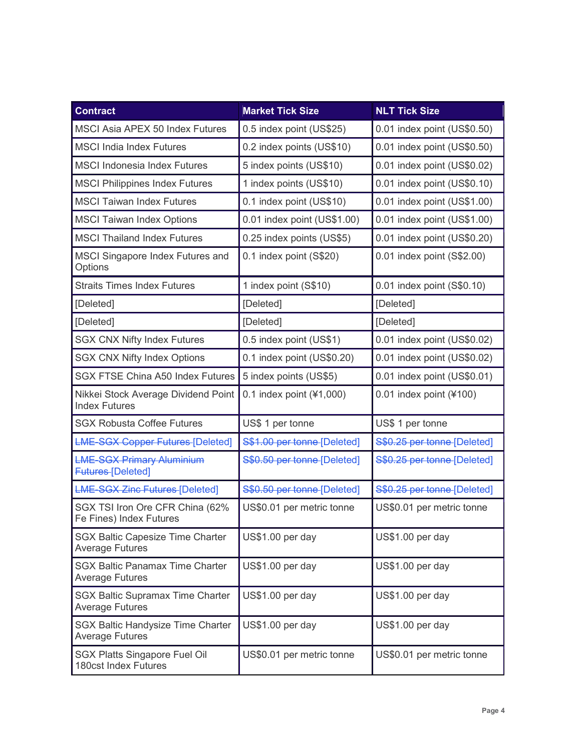| <b>Contract</b>                                                    | <b>Market Tick Size</b>     | <b>NLT Tick Size</b>        |
|--------------------------------------------------------------------|-----------------------------|-----------------------------|
| <b>MSCI Asia APEX 50 Index Futures</b>                             | 0.5 index point (US\$25)    | 0.01 index point (US\$0.50) |
| <b>MSCI India Index Futures</b>                                    | 0.2 index points (US\$10)   | 0.01 index point (US\$0.50) |
| <b>MSCI Indonesia Index Futures</b>                                | 5 index points (US\$10)     | 0.01 index point (US\$0.02) |
| <b>MSCI Philippines Index Futures</b>                              | 1 index points (US\$10)     | 0.01 index point (US\$0.10) |
| <b>MSCI Taiwan Index Futures</b>                                   | 0.1 index point (US\$10)    | 0.01 index point (US\$1.00) |
| <b>MSCI Taiwan Index Options</b>                                   | 0.01 index point (US\$1.00) | 0.01 index point (US\$1.00) |
| <b>MSCI Thailand Index Futures</b>                                 | 0.25 index points (US\$5)   | 0.01 index point (US\$0.20) |
| <b>MSCI Singapore Index Futures and</b><br>Options                 | 0.1 index point (S\$20)     | 0.01 index point (S\$2.00)  |
| <b>Straits Times Index Futures</b>                                 | 1 index point (S\$10)       | 0.01 index point (S\$0.10)  |
| [Deleted]                                                          | [Deleted]                   | [Deleted]                   |
| [Deleted]                                                          | [Deleted]                   | [Deleted]                   |
| <b>SGX CNX Nifty Index Futures</b>                                 | 0.5 index point (US\$1)     | 0.01 index point (US\$0.02) |
| <b>SGX CNX Nifty Index Options</b>                                 | 0.1 index point (US\$0.20)  | 0.01 index point (US\$0.02) |
| <b>SGX FTSE China A50 Index Futures</b>                            | 5 index points (US\$5)      | 0.01 index point (US\$0.01) |
| Nikkei Stock Average Dividend Point<br><b>Index Futures</b>        | 0.1 index point $(*1,000)$  | $0.01$ index point (¥100)   |
| <b>SGX Robusta Coffee Futures</b>                                  | US\$ 1 per tonne            | US\$ 1 per tonne            |
| <b>LME-SGX Copper Futures-[Deleted]</b>                            | S\$1.00 per tonne [Deleted] | S\$0.25 per tonne [Deleted] |
| <b>LME-SGX Primary Aluminium</b><br><b>Futures-[Deleted]</b>       | S\$0.50 per tonne [Deleted] | S\$0.25 per tonne [Deleted] |
| <b>LME-SGX Zinc Futures-[Deleted]</b>                              | S\$0.50 per tonne [Deleted] | S\$0.25 per tonne [Deleted] |
| SGX TSI Iron Ore CFR China (62%<br>Fe Fines) Index Futures         | US\$0.01 per metric tonne   | US\$0.01 per metric tonne   |
| <b>SGX Baltic Capesize Time Charter</b><br><b>Average Futures</b>  | US\$1.00 per day            | US\$1.00 per day            |
| <b>SGX Baltic Panamax Time Charter</b><br><b>Average Futures</b>   | US\$1.00 per day            | US\$1.00 per day            |
| <b>SGX Baltic Supramax Time Charter</b><br><b>Average Futures</b>  | US\$1.00 per day            | US\$1.00 per day            |
| <b>SGX Baltic Handysize Time Charter</b><br><b>Average Futures</b> | US\$1.00 per day            | US\$1.00 per day            |
| <b>SGX Platts Singapore Fuel Oil</b><br>180cst Index Futures       | US\$0.01 per metric tonne   | US\$0.01 per metric tonne   |